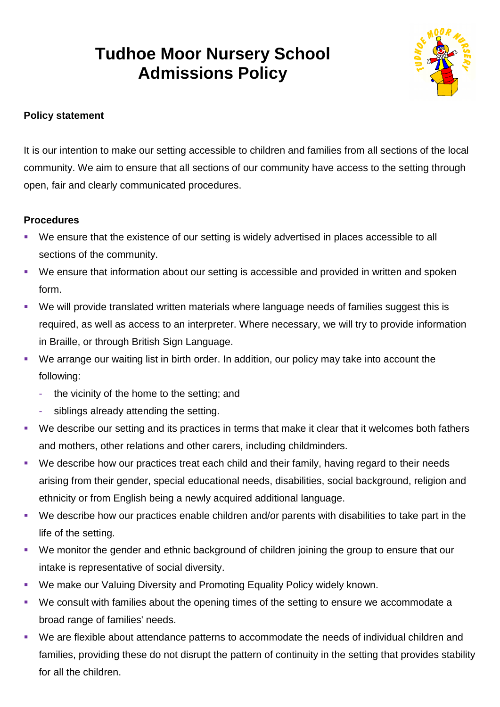# **Tudhoe Moor Nursery School Admissions Policy**



# **Policy statement**

It is our intention to make our setting accessible to children and families from all sections of the local community. We aim to ensure that all sections of our community have access to the setting through open, fair and clearly communicated procedures.

## **Procedures**

- We ensure that the existence of our setting is widely advertised in places accessible to all sections of the community.
- We ensure that information about our setting is accessible and provided in written and spoken form.
- We will provide translated written materials where language needs of families suggest this is required, as well as access to an interpreter. Where necessary, we will try to provide information in Braille, or through British Sign Language.
- We arrange our waiting list in birth order. In addition, our policy may take into account the following:
	- the vicinity of the home to the setting; and
	- siblings already attending the setting.
- We describe our setting and its practices in terms that make it clear that it welcomes both fathers and mothers, other relations and other carers, including childminders.
- We describe how our practices treat each child and their family, having regard to their needs arising from their gender, special educational needs, disabilities, social background, religion and ethnicity or from English being a newly acquired additional language.
- We describe how our practices enable children and/or parents with disabilities to take part in the life of the setting.
- We monitor the gender and ethnic background of children joining the group to ensure that our intake is representative of social diversity.
- We make our Valuing Diversity and Promoting Equality Policy widely known.
- We consult with families about the opening times of the setting to ensure we accommodate a broad range of families' needs.
- We are flexible about attendance patterns to accommodate the needs of individual children and families, providing these do not disrupt the pattern of continuity in the setting that provides stability for all the children.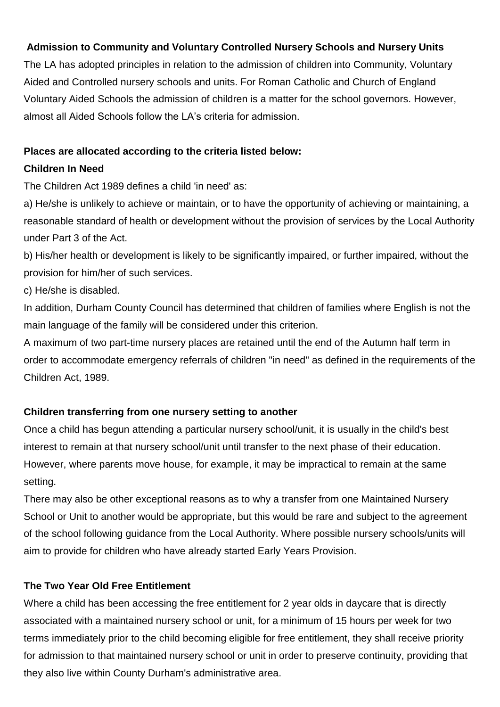## **Admission to Community and Voluntary Controlled Nursery Schools and Nursery Units**

The LA has adopted principles in relation to the admission of children into Community, Voluntary Aided and Controlled nursery schools and units. For Roman Catholic and Church of England Voluntary Aided Schools the admission of children is a matter for the school governors. However, almost all Aided Schools follow the LA's criteria for admission.

#### **Places are allocated according to the criteria listed below:**

#### **Children In Need**

The Children Act 1989 defines a child 'in need' as:

a) He/she is unlikely to achieve or maintain, or to have the opportunity of achieving or maintaining, a reasonable standard of health or development without the provision of services by the Local Authority under Part 3 of the Act.

b) His/her health or development is likely to be significantly impaired, or further impaired, without the provision for him/her of such services.

c) He/she is disabled.

In addition, Durham County Council has determined that children of families where English is not the main language of the family will be considered under this criterion.

A maximum of two part-time nursery places are retained until the end of the Autumn half term in order to accommodate emergency referrals of children "in need" as defined in the requirements of the Children Act, 1989.

#### **Children transferring from one nursery setting to another**

Once a child has begun attending a particular nursery school/unit, it is usually in the child's best interest to remain at that nursery school/unit until transfer to the next phase of their education. However, where parents move house, for example, it may be impractical to remain at the same setting.

There may also be other exceptional reasons as to why a transfer from one Maintained Nursery School or Unit to another would be appropriate, but this would be rare and subject to the agreement of the school following guidance from the Local Authority. Where possible nursery schools/units will aim to provide for children who have already started Early Years Provision.

#### **The Two Year Old Free Entitlement**

Where a child has been accessing the free entitlement for 2 year olds in daycare that is directly associated with a maintained nursery school or unit, for a minimum of 15 hours per week for two terms immediately prior to the child becoming eligible for free entitlement, they shall receive priority for admission to that maintained nursery school or unit in order to preserve continuity, providing that they also live within County Durham's administrative area.